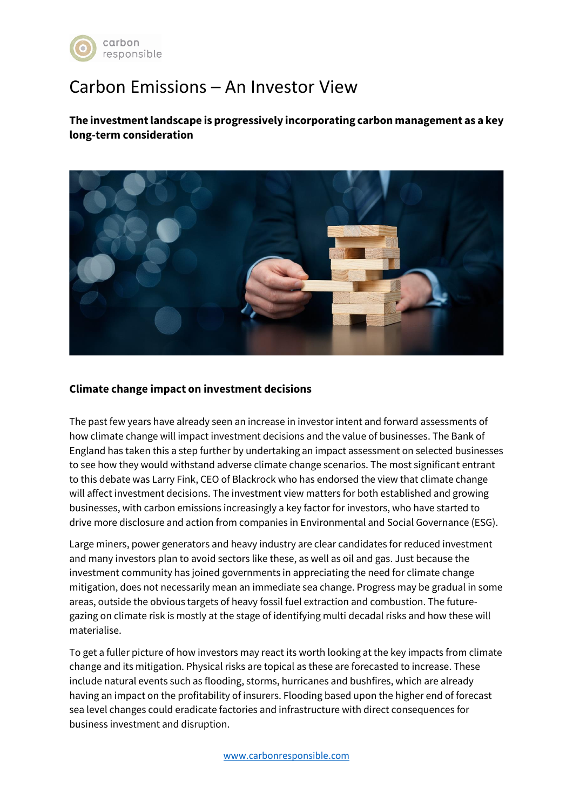

# Carbon Emissions – An Investor View

**The investment landscape is progressively incorporating carbon management as a key long-term consideration**



## **Climate change impact on investment decisions**

The past few years have already seen an increase in investor intent and forward assessments of how climate change will impact investment decisions and the value of businesses. The Bank of England has taken this a step further by undertaking an impact assessment on selected businesses to see how they would withstand adverse climate change scenarios. The most significant entrant to this debate was Larry Fink, CEO of Blackrock who has endorsed the view that climate change will affect investment decisions. The investment view matters for both established and growing businesses, with carbon emissions increasingly a key factor for investors, who have started to drive more disclosure and action from companies in Environmental and Social Governance (ESG).

Large miners, power generators and heavy industry are clear candidates for reduced investment and many investors plan to avoid sectors like these, as well as oil and gas. Just because the investment community has joined governments in appreciating the need for climate change mitigation, does not necessarily mean an immediate sea change. Progress may be gradual in some areas, outside the obvious targets of heavy fossil fuel extraction and combustion. The futuregazing on climate risk is mostly at the stage of identifying multi decadal risks and how these will materialise.

To get a fuller picture of how investors may react its worth looking at the key impacts from climate change and its mitigation. Physical risks are topical as these are forecasted to increase. These include natural events such as flooding, storms, hurricanes and bushfires, which are already having an impact on the profitability of insurers. Flooding based upon the higher end of forecast sea level changes could eradicate factories and infrastructure with direct consequences for business investment and disruption.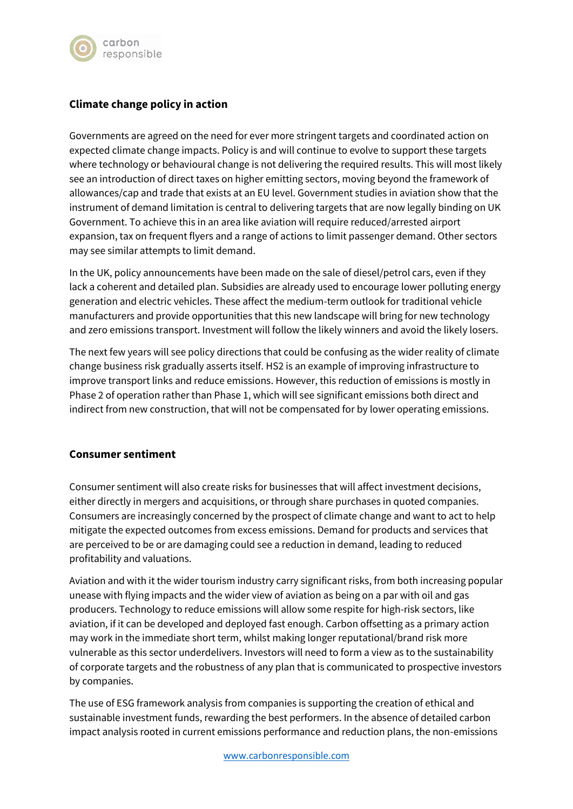

## **Climate change policy in action**

Governments are agreed on the need for ever more stringent targets and coordinated action on expected climate change impacts. Policy is and will continue to evolve to support these targets where technology or behavioural change is not delivering the required results. This will most likely see an introduction of direct taxes on higher emitting sectors, moving beyond the framework of allowances/cap and trade that exists at an EU level. Government studies in aviation show that the instrument of demand limitation is central to delivering targets that are now legally binding on UK Government. To achieve this in an area like aviation will require reduced/arrested airport expansion, tax on frequent flyers and a range of actions to limit passenger demand. Other sectors may see similar attempts to limit demand.

In the UK, policy announcements have been made on the sale of diesel/petrol cars, even if they lack a coherent and detailed plan. Subsidies are already used to encourage lower polluting energy generation and electric vehicles. These affect the medium-term outlook for traditional vehicle manufacturers and provide opportunities that this new landscape will bring for new technology and zero emissions transport. Investment will follow the likely winners and avoid the likely losers.

The next few years will see policy directions that could be confusing as the wider reality of climate change business risk gradually asserts itself. HS2 is an example of improving infrastructure to improve transport links and reduce emissions. However, this reduction of emissions is mostly in Phase 2 of operation rather than Phase 1, which will see significant emissions both direct and indirect from new construction, that will not be compensated for by lower operating emissions.

## **Consumer sentiment**

Consumer sentiment will also create risks for businesses that will affect investment decisions, either directly in mergers and acquisitions, or through share purchases in quoted companies. Consumers are increasingly concerned by the prospect of climate change and want to act to help mitigate the expected outcomes from excess emissions. Demand for products and services that are perceived to be or are damaging could see a reduction in demand, leading to reduced profitability and valuations.

Aviation and with it the wider tourism industry carry significant risks, from both increasing popular unease with flying impacts and the wider view of aviation as being on a par with oil and gas producers. Technology to reduce emissions will allow some respite for high-risk sectors, like aviation, if it can be developed and deployed fast enough. Carbon offsetting as a primary action may work in the immediate short term, whilst making longer reputational/brand risk more vulnerable as this sector underdelivers. Investors will need to form a view as to the sustainability of corporate targets and the robustness of any plan that is communicated to prospective investors by companies.

The use of ESG framework analysis from companies is supporting the creation of ethical and sustainable investment funds, rewarding the best performers. In the absence of detailed carbon impact analysis rooted in current emissions performance and reduction plans, the non-emissions